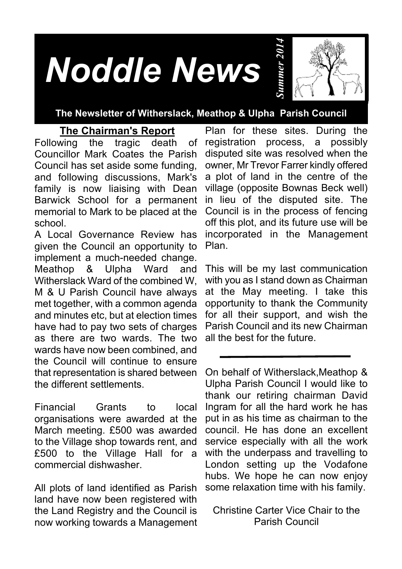# *Noddle News*



#### **The Newsletter of Witherslack, Meathop & Ulpha Parish Council**

#### **The Chairman's Report**

Following the tragic death of Councillor Mark Coates the Parish Council has set aside some funding, and following discussions, Mark's family is now liaising with Dean Barwick School for a permanent memorial to Mark to be placed at the school.

A Local Governance Review has given the Council an opportunity to implement a much-needed change. Meathop & Ulpha Ward and Witherslack Ward of the combined W, M & U Parish Council have always met together, with a common agenda and minutes etc, but at election times have had to pay two sets of charges as there are two wards. The two wards have now been combined, and the Council will continue to ensure that representation is shared between the different settlements.

Financial Grants to local organisations were awarded at the March meeting. £500 was awarded to the Village shop towards rent, and £500 to the Village Hall for a commercial dishwasher.

All plots of land identified as Parish land have now been registered with the Land Registry and the Council is now working towards a Management

Plan for these sites. During the registration process, a possibly disputed site was resolved when the owner, Mr Trevor Farrer kindly offered a plot of land in the centre of the village (opposite Bownas Beck well) in lieu of the disputed site. The Council is in the process of fencing off this plot, and its future use will be incorporated in the Management Plan.

*Summer 2014*

This will be my last communication with you as I stand down as Chairman at the May meeting. I take this opportunity to thank the Community for all their support, and wish the Parish Council and its new Chairman all the best for the future.

On behalf of Witherslack,Meathop & Ulpha Parish Council I would like to thank our retiring chairman David Ingram for all the hard work he has put in as his time as chairman to the council. He has done an excellent service especially with all the work with the underpass and travelling to London setting up the Vodafone hubs. We hope he can now enjoy some relaxation time with his family.

Christine Carter Vice Chair to the Parish Council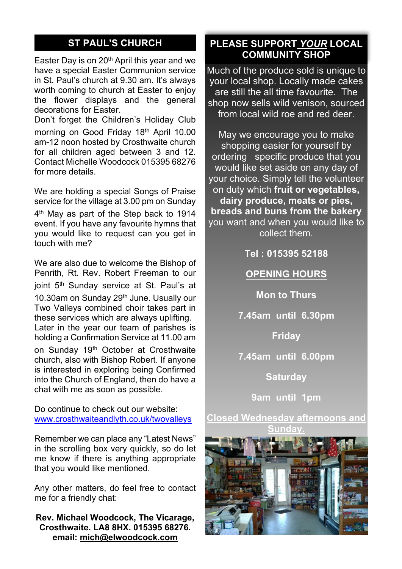# **ST PAUL'S CHURCH**

Easter Day is on 20th April this year and we have a special Easter Communion service in St. Paul's church at 9.30 am. It's always worth coming to church at Easter to enjoy the flower displays and the general decorations for Easter.

Don't forget the Children's Holiday Club morning on Good Friday 18th April 10.00 am-12 noon hosted by Crosthwaite church for all children aged between 3 and 12. Contact Michelle Woodcock 015395 68276 for more details.

We are holding a special Songs of Praise service for the village at 3.00 pm on Sunday 4 th May as part of the Step back to 1914 event. If you have any favourite hymns that you would like to request can you get in touch with me?

We are also due to welcome the Bishop of Penrith, Rt. Rev. Robert Freeman to our joint 5<sup>th</sup> Sunday service at St. Paul's at 10.30am on Sunday 29<sup>th</sup> June. Usually our Two Valleys combined choir takes part in these services which are always uplifting. Later in the year our team of parishes is holding a Confirmation Service at 11.00 am

on Sunday 19th October at Crosthwaite church, also with Bishop Robert. If anyone is interested in exploring being Confirmed into the Church of England, then do have a chat with me as soon as possible.

Do continue to check out our website: www.crosthwaiteandlyth.co.uk/twovalleys

Remember we can place any "Latest News" in the scrolling box very quickly, so do let me know if there is anything appropriate that you would like mentioned.

Any other matters, do feel free to contact me for a friendly chat:

**Rev. Michael Woodcock, The Vicarage, Crosthwaite. LA8 8HX. 015395 68276. email: mich@elwoodcock.com**

## **PLEASE SUPPORT** *YOUR* **LOCAL COMMUNITY SHOP**

Much of the produce sold is unique to your local shop. Locally made cakes are still the all time favourite. The shop now sells wild venison, sourced from local wild roe and red deer.

May we encourage you to make shopping easier for yourself by ordering specific produce that you would like set aside on any day of your choice. Simply tell the volunteer on duty which **fruit or vegetables, dairy produce, meats or pies, breads and buns from the bakery** you want and when you would like to collect them.

**Tel : 015395 52188**

**OPENING HOURS**

**Mon to Thurs**

**7.45am until 6.30pm**

**Friday**

**7.45am until 6.00pm**

**Saturday**

**9am until 1pm**

**Closed Wednesday afternoons and Sunday.**

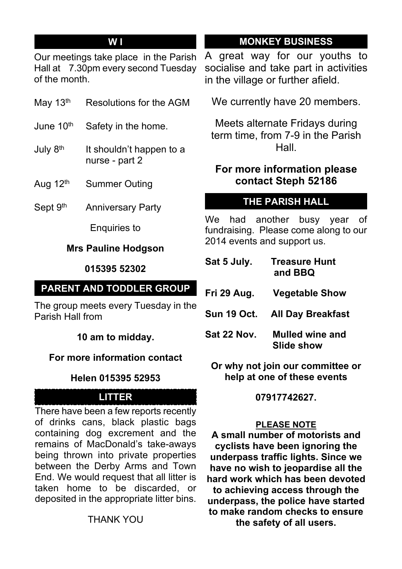# **W I**

Our meetings take place in the Parish Hall at 7.30pm every second Tuesday of the month.

- May 13<sup>th</sup> Resolutions for the AGM
- June 10<sup>th</sup> Safety in the home.
- July  $8<sup>th</sup>$  It shouldn't happen to a nurse - part 2
- Aug 12<sup>th</sup> Summer Outing
- Sept 9<sup>th</sup> Anniversary Party

Enquiries to

#### **Mrs Pauline Hodgson**

#### **015395 52302**

# **PARENT AND TODDLER GROUP**

The group meets every Tuesday in the Parish Hall from

**10 am to midday.**

#### **For more information contact**

#### **Helen 015395 52953**

### **LITTER**

There have been a few reports recently of drinks cans, black plastic bags containing dog excrement and the remains of MacDonald's take-aways being thrown into private properties between the Derby Arms and Town End. We would request that all litter is taken home to be discarded, or deposited in the appropriate litter bins.

# **MONKEY BUSINESS**

A great way for our youths to socialise and take part in activities in the village or further afield.

We currently have 20 members.

Meets alternate Fridays during term time, from 7-9 in the Parish Hall.

# **For more information please contact Steph 52186**

# **THE PARISH HALL**

We had another busy year of fundraising. Please come along to our 2014 events and support us.

| Sat 5 July.        | <b>Treasure Hunt</b><br>and BBQ |
|--------------------|---------------------------------|
| Fri 29 Aug.        | <b>Vegetable Show</b>           |
| <b>Sun 19 Oct.</b> | <b>All Day Breakfast</b>        |
| Sat 22 Nov.        | Mulled wine and<br>Slide show   |

**Or why not join our committee or help at one of these events**

**07917742627.**

#### **PLEASE NOTE**

**A small number of motorists and cyclists have been ignoring the underpass traffic lights. Since we have no wish to jeopardise all the hard work which has been devoted to achieving access through the underpass, the police have started to make random checks to ensure the safety of all users.**